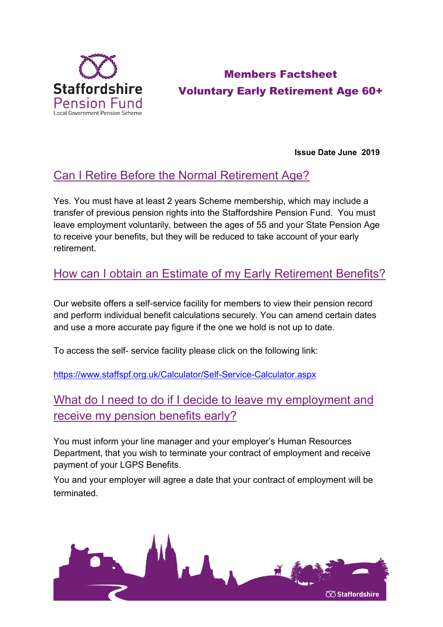

# Members Factsheet Voluntary Early Retirement Age 60+

**Issue Date June 2019**

## Can I Retire Before the Normal Retirement Age?

Yes. You must have at least 2 years Scheme membership, which may include a transfer of previous pension rights into the Staffordshire Pension Fund. You must leave employment voluntarily, between the ages of 55 and your State Pension Age to receive your benefits, but they will be reduced to take account of your early retirement.

## How can I obtain an Estimate of my Early Retirement Benefits?

Our website offers a self-service facility for members to view their pension record and perform individual benefit calculations securely. You can amend certain dates and use a more accurate pay figure if the one we hold is not up to date.

To access the self- service facility please click on the following link:

<https://www.staffspf.org.uk/Calculator/Self-Service-Calculator.aspx>

# What do I need to do if I decide to leave my employment and receive my pension benefits early?

You must inform your line manager and your employer's Human Resources Department, that you wish to terminate your contract of employment and receive payment of your LGPS Benefits.

You and your employer will agree a date that your contract of employment will be terminated.

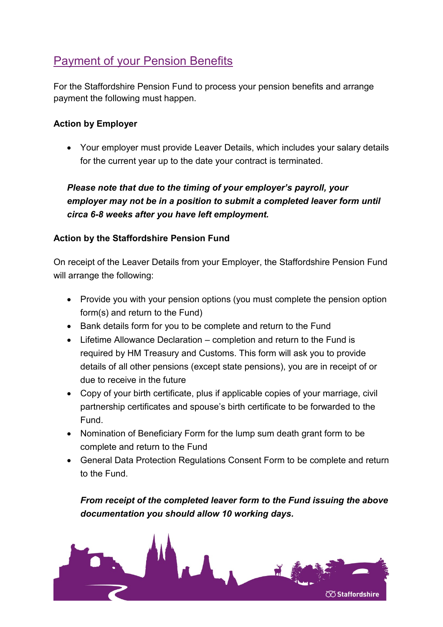### Payment of your Pension Benefits

For the Staffordshire Pension Fund to process your pension benefits and arrange payment the following must happen.

#### **Action by Employer**

• Your employer must provide Leaver Details, which includes your salary details for the current year up to the date your contract is terminated.

*Please note that due to the timing of your employer's payroll, your employer may not be in a position to submit a completed leaver form until circa 6-8 weeks after you have left employment.*

#### **Action by the Staffordshire Pension Fund**

On receipt of the Leaver Details from your Employer, the Staffordshire Pension Fund will arrange the following:

- Provide you with your pension options (you must complete the pension option form(s) and return to the Fund)
- Bank details form for you to be complete and return to the Fund
- Lifetime Allowance Declaration completion and return to the Fund is required by HM Treasury and Customs. This form will ask you to provide details of all other pensions (except state pensions), you are in receipt of or due to receive in the future
- Copy of your birth certificate, plus if applicable copies of your marriage, civil partnership certificates and spouse's birth certificate to be forwarded to the Fund.
- Nomination of Beneficiary Form for the lump sum death grant form to be complete and return to the Fund
- General Data Protection Regulations Consent Form to be complete and return to the Fund.

*From receipt of the completed leaver form to the Fund issuing the above documentation you should allow 10 working days.*

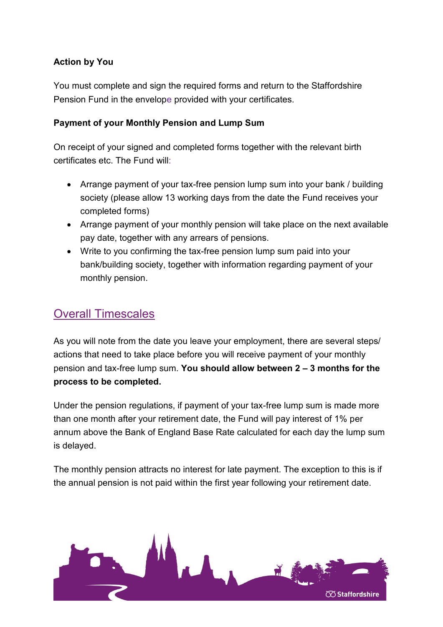#### **Action by You**

You must complete and sign the required forms and return to the Staffordshire Pension Fund in the envelope provided with your certificates.

#### **Payment of your Monthly Pension and Lump Sum**

On receipt of your signed and completed forms together with the relevant birth certificates etc. The Fund will:

- Arrange payment of your tax-free pension lump sum into your bank / building society (please allow 13 working days from the date the Fund receives your completed forms)
- Arrange payment of your monthly pension will take place on the next available pay date, together with any arrears of pensions.
- Write to you confirming the tax-free pension lump sum paid into your bank/building society, together with information regarding payment of your monthly pension.

### Overall Timescales

As you will note from the date you leave your employment, there are several steps/ actions that need to take place before you will receive payment of your monthly pension and tax-free lump sum. **You should allow between 2 – 3 months for the process to be completed.**

Under the pension regulations, if payment of your tax-free lump sum is made more than one month after your retirement date, the Fund will pay interest of 1% per annum above the Bank of England Base Rate calculated for each day the lump sum is delayed.

The monthly pension attracts no interest for late payment. The exception to this is if the annual pension is not paid within the first year following your retirement date.